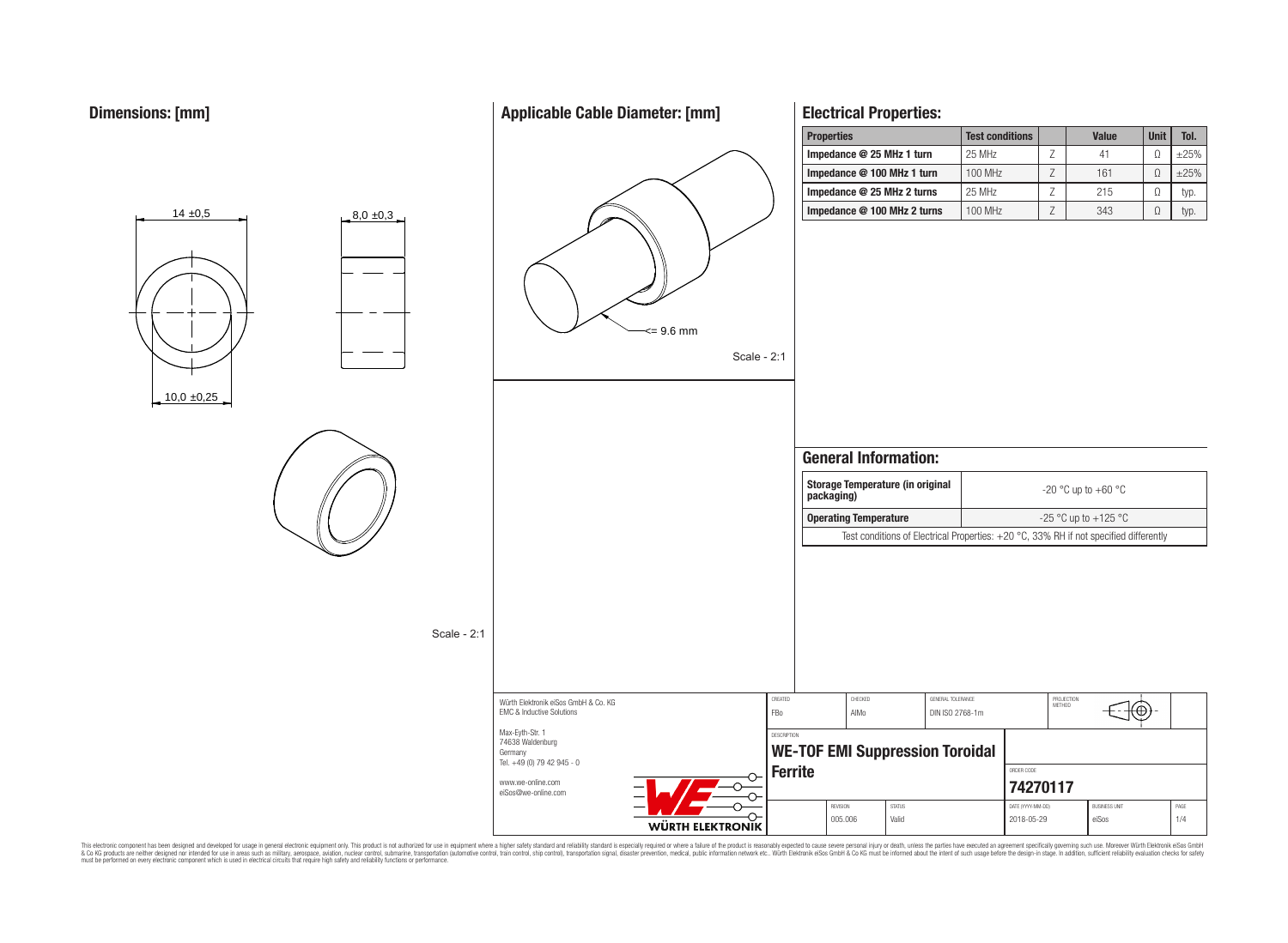$14 \pm 0.5$   $8.0 \pm 0.3$ 

# **Applicable Cable Diameter: [mm]**

# <= 9.6 mm Scale - 2:1

# **Electrical Properties:**

| <b>Properties</b>           | <b>Test conditions</b> | <b>Value</b> | <b>Unit</b> | Tol.       |
|-----------------------------|------------------------|--------------|-------------|------------|
| Impedance @ 25 MHz 1 turn   | 25 MHz                 | 41           |             | $\pm 25\%$ |
| Impedance @ 100 MHz 1 turn  | <b>100 MHz</b>         | 161          |             | $\pm 25\%$ |
| Impedance @ 25 MHz 2 turns  | 25 MHz                 | 215          | Ω           | typ.       |
| Impedance @ 100 MHz 2 turns | <b>100 MHz</b>         | 343          | Ω           | typ.       |



This electronic component has been designed and developed for usage in general electronic equipment only. This product is not authorized for subserved requipment where a higher selection equipment where a higher selection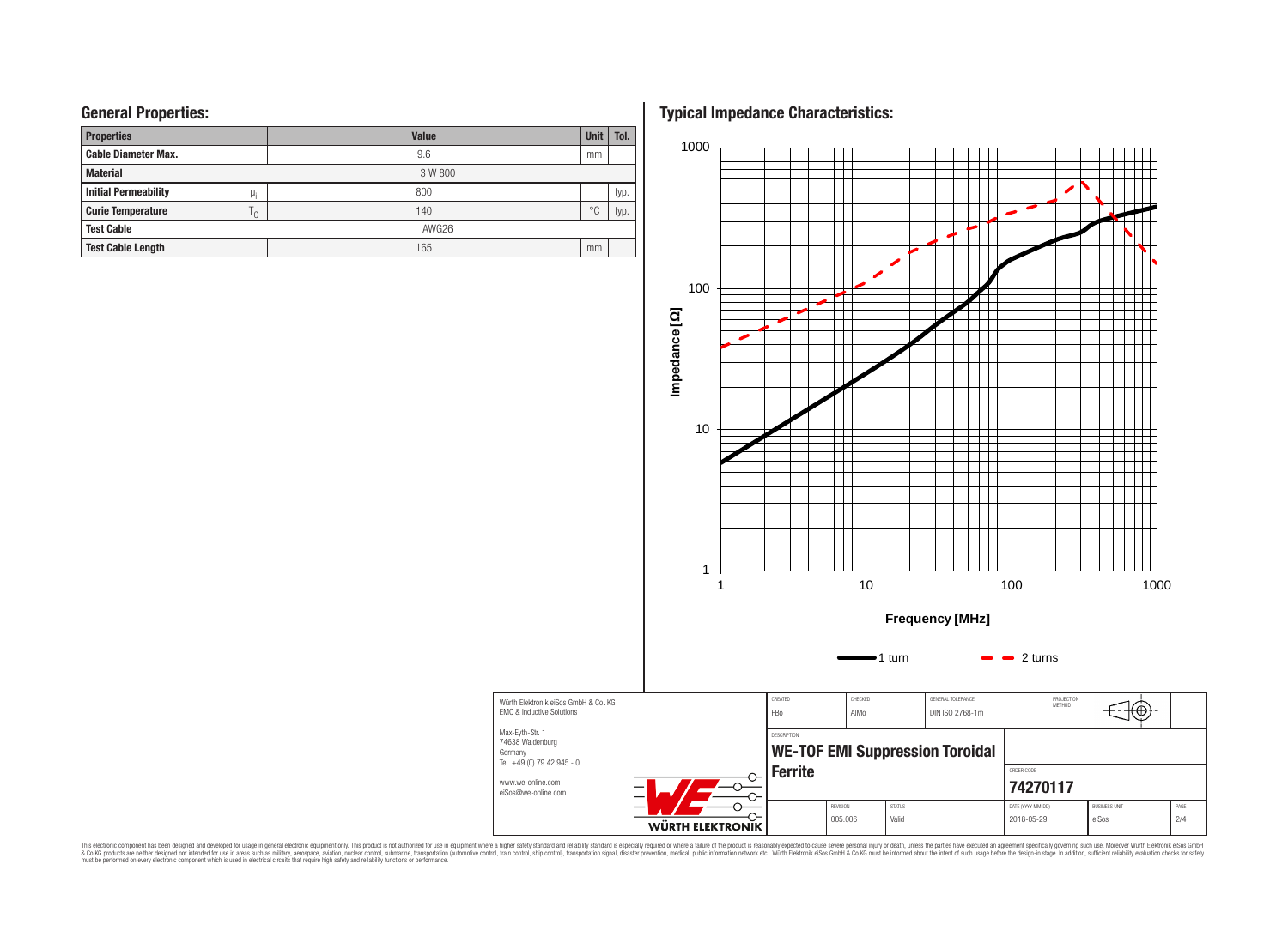| <b>Properties</b>           |              | <b>Value</b> |                |      |  |  |  |  |  |  |
|-----------------------------|--------------|--------------|----------------|------|--|--|--|--|--|--|
| <b>Cable Diameter Max.</b>  |              | 9.6          | mm             |      |  |  |  |  |  |  |
| <b>Material</b>             |              | 3 W 800      |                |      |  |  |  |  |  |  |
| <b>Initial Permeability</b> | $\mu_i$      | 800          |                | typ. |  |  |  |  |  |  |
| <b>Curie Temperature</b>    | $\cap$<br>٠. | 140          | $\circ$ $\cap$ | typ. |  |  |  |  |  |  |
| <b>Test Cable</b>           |              | AWG26        |                |      |  |  |  |  |  |  |
| <b>Test Cable Length</b>    |              | 165          | mm             |      |  |  |  |  |  |  |

**General Properties: Typical Impedance Characteristics:**



This electronic component has been designed and developed for usage in general electronic equipment only. This product is not authorized for subserved requipment where a higher selection equipment where a higher selection

Germany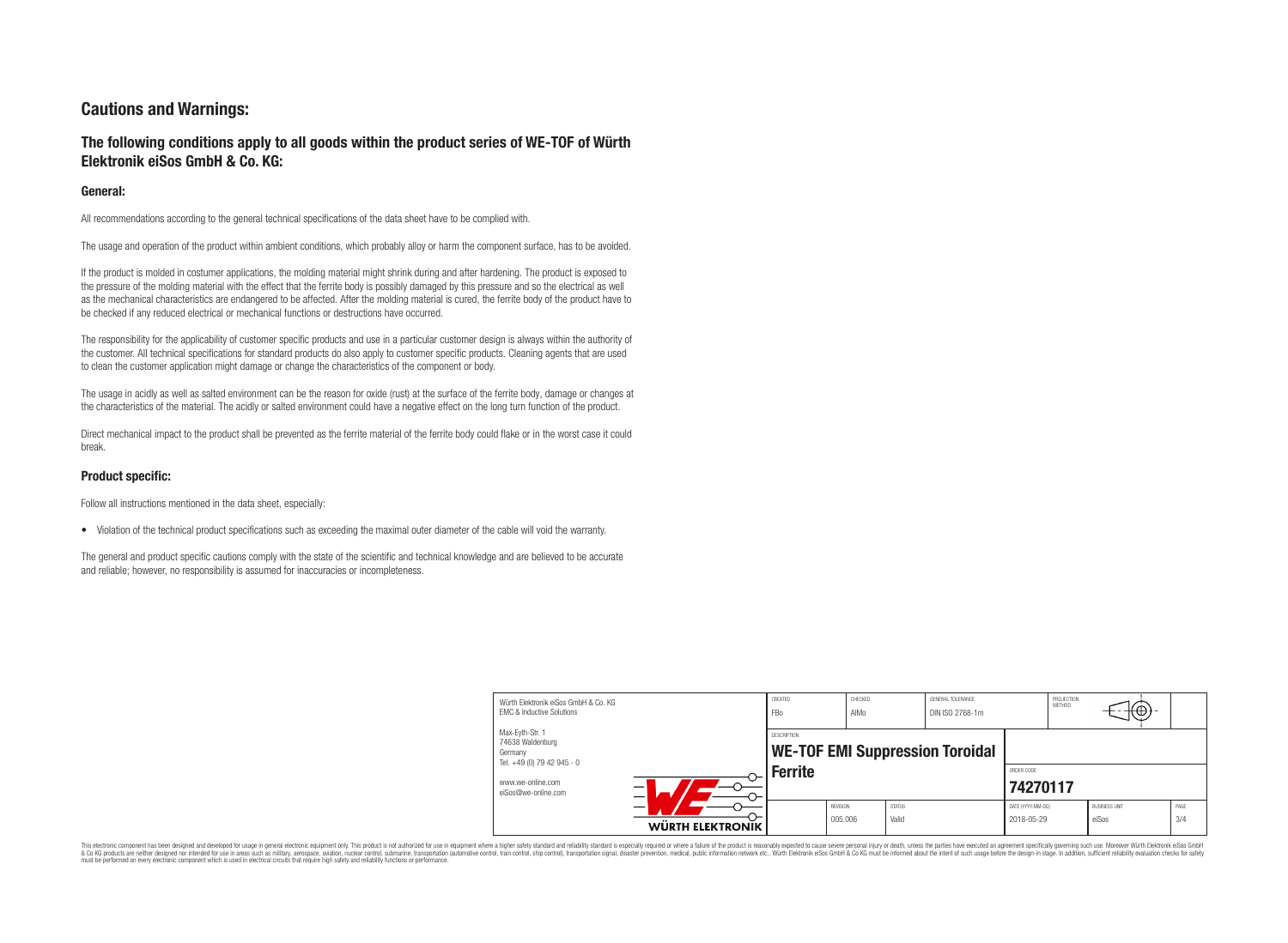# **Cautions and Warnings:**

# **The following conditions apply to all goods within the product series of WE-TOF of Würth Elektronik eiSos GmbH & Co. KG:**

### **General:**

All recommendations according to the general technical specifications of the data sheet have to be complied with.

The usage and operation of the product within ambient conditions, which probably alloy or harm the component surface, has to be avoided.

If the product is molded in costumer applications, the molding material might shrink during and after hardening. The product is exposed to the pressure of the molding material with the effect that the ferrite body is possibly damaged by this pressure and so the electrical as well as the mechanical characteristics are endangered to be affected. After the molding material is cured, the ferrite body of the product have to be checked if any reduced electrical or mechanical functions or destructions have occurred.

The responsibility for the applicability of customer specific products and use in a particular customer design is always within the authority of the customer. All technical specifications for standard products do also apply to customer specific products. Cleaning agents that are used to clean the customer application might damage or change the characteristics of the component or body.

The usage in acidly as well as salted environment can be the reason for oxide (rust) at the surface of the ferrite body, damage or changes at the characteristics of the material. The acidly or salted environment could have a negative effect on the long turn function of the product.

Direct mechanical impact to the product shall be prevented as the ferrite material of the ferrite body could flake or in the worst case it could break.

### **Product specific:**

Follow all instructions mentioned in the data sheet, especially:

• Violation of the technical product specifications such as exceeding the maximal outer diameter of the cable will void the warranty.

The general and product specific cautions comply with the state of the scientific and technical knowledge and are believed to be accurate and reliable; however, no responsibility is assumed for inaccuracies or incompleteness.

| Würth Elektronik eiSos GmbH & Co. KG<br><b>FMC &amp; Inductive Solutions</b> |                  | CREATED<br><b>FBo</b>                                                   | CHECKED<br>AIMo            |                        | GENERAL TOLERANCE<br>DIN ISO 2768-1m |                                 | PROJECTION<br><b>METHOD</b> | ⊥t⊕→                          |             |
|------------------------------------------------------------------------------|------------------|-------------------------------------------------------------------------|----------------------------|------------------------|--------------------------------------|---------------------------------|-----------------------------|-------------------------------|-------------|
| Max-Eyth-Str. 1<br>74638 Waldenburg<br>Germany<br>Tel. +49 (0) 79 42 945 - 0 |                  | DESCRIPTION<br><b>WE-TOF EMI Suppression Toroidal</b><br><b>Ferrite</b> |                            |                        |                                      |                                 |                             |                               |             |
| www.we-online.com<br>eiSos@we-online.com                                     |                  |                                                                         |                            |                        |                                      | ORDER CODE<br>74270117          |                             |                               |             |
|                                                                              | WÜRTH ELEKTRONIK |                                                                         | <b>REVISION</b><br>005.006 | <b>STATUS</b><br>Valid |                                      | DATE (YYYY-MM-DD)<br>2018-05-29 |                             | <b>BUSINESS UNIT</b><br>eiSos | PAGE<br>3/4 |

This electronic component has been designed and developed for usage in general electronic equipment only. This product is not authorized for use in equipment where a higher safety standard and reliability standard is espec & Ook product a label and the membed of the seasuch as marked and as which such a membed and the such assume that income in the seasuch and the simulation and the such assume that include to the such a membed and the such